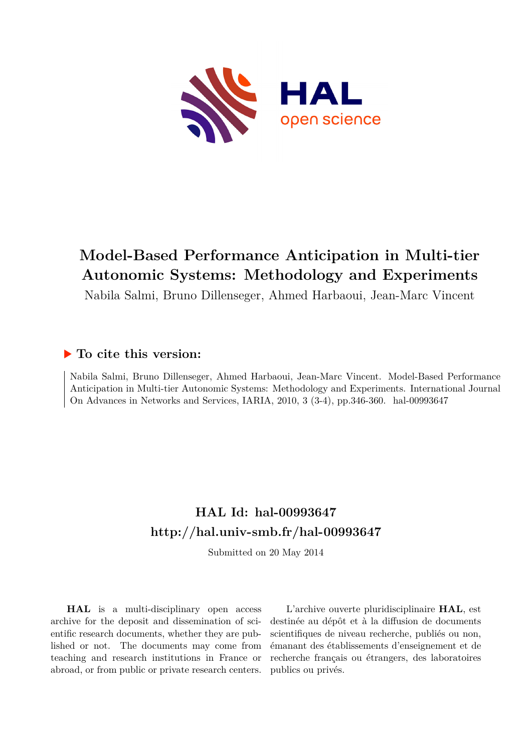

# **Model-Based Performance Anticipation in Multi-tier Autonomic Systems: Methodology and Experiments**

Nabila Salmi, Bruno Dillenseger, Ahmed Harbaoui, Jean-Marc Vincent

# **To cite this version:**

Nabila Salmi, Bruno Dillenseger, Ahmed Harbaoui, Jean-Marc Vincent. Model-Based Performance Anticipation in Multi-tier Autonomic Systems: Methodology and Experiments. International Journal On Advances in Networks and Services, IARIA, 2010, 3 (3-4), pp.346-360. hal-00993647

# **HAL Id: hal-00993647 <http://hal.univ-smb.fr/hal-00993647>**

Submitted on 20 May 2014

**HAL** is a multi-disciplinary open access archive for the deposit and dissemination of scientific research documents, whether they are published or not. The documents may come from teaching and research institutions in France or abroad, or from public or private research centers.

L'archive ouverte pluridisciplinaire **HAL**, est destinée au dépôt et à la diffusion de documents scientifiques de niveau recherche, publiés ou non, émanant des établissements d'enseignement et de recherche français ou étrangers, des laboratoires publics ou privés.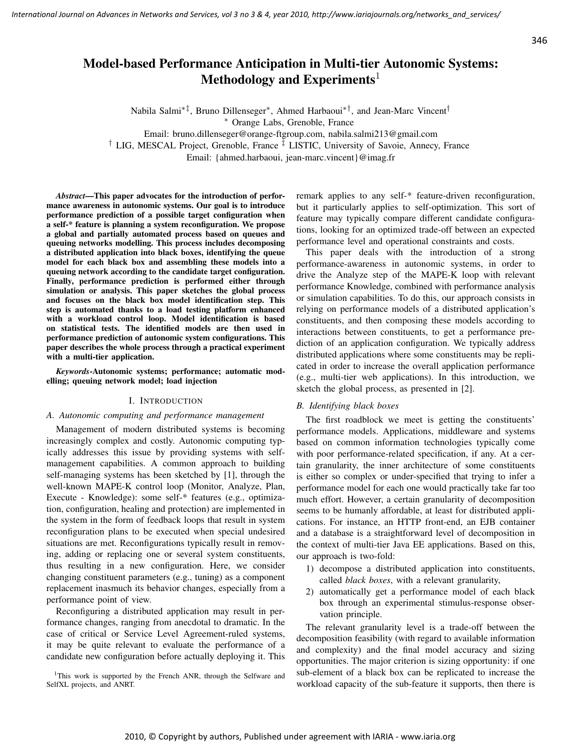# Model-based Performance Anticipation in Multi-tier Autonomic Systems: Methodology and Experiments<sup>1</sup>

Nabila Salmi∗‡, Bruno Dillenseger<sup>∗</sup> , Ahmed Harbaoui∗†, and Jean-Marc Vincent†

<sup>∗</sup> Orange Labs, Grenoble, France

Email: bruno.dillenseger@orange-ftgroup.com, nabila.salmi213@gmail.com

† LIG, MESCAL Project, Grenoble, France ‡ LISTIC, University of Savoie, Annecy, France

Email: {ahmed.harbaoui, jean-marc.vincent}@imag.fr

*Abstract*—This paper advocates for the introduction of performance awareness in autonomic systems. Our goal is to introduce performance prediction of a possible target configuration when a self-\* feature is planning a system reconfiguration. We propose a global and partially automated process based on queues and queuing networks modelling. This process includes decomposing a distributed application into black boxes, identifying the queue model for each black box and assembling these models into a queuing network according to the candidate target configuration. Finally, performance prediction is performed either through simulation or analysis. This paper sketches the global process and focuses on the black box model identification step. This step is automated thanks to a load testing platform enhanced with a workload control loop. Model identification is based on statistical tests. The identified models are then used in performance prediction of autonomic system configurations. This paper describes the whole process through a practical experiment with a multi-tier application.

*Keywords*-Autonomic systems; performance; automatic modelling; queuing network model; load injection

## I. INTRODUCTION

# *A. Autonomic computing and performance management*

Management of modern distributed systems is becoming increasingly complex and costly. Autonomic computing typically addresses this issue by providing systems with selfmanagement capabilities. A common approach to building self-managing systems has been sketched by [1], through the well-known MAPE-K control loop (Monitor, Analyze, Plan, Execute - Knowledge): some self-\* features (e.g., optimization, configuration, healing and protection) are implemented in the system in the form of feedback loops that result in system reconfiguration plans to be executed when special undesired situations are met. Reconfigurations typically result in removing, adding or replacing one or several system constituents, thus resulting in a new configuration. Here, we consider changing constituent parameters (e.g., tuning) as a component replacement inasmuch its behavior changes, especially from a performance point of view.

Reconfiguring a distributed application may result in performance changes, ranging from anecdotal to dramatic. In the case of critical or Service Level Agreement-ruled systems, it may be quite relevant to evaluate the performance of a candidate new configuration before actually deploying it. This

<sup>1</sup>This work is supported by the French ANR, through the Selfware and SelfXL projects, and ANRT.

remark applies to any self-\* feature-driven reconfiguration, but it particularly applies to self-optimization. This sort of feature may typically compare different candidate configurations, looking for an optimized trade-off between an expected performance level and operational constraints and costs.

This paper deals with the introduction of a strong performance-awareness in autonomic systems, in order to drive the Analyze step of the MAPE-K loop with relevant performance Knowledge, combined with performance analysis or simulation capabilities. To do this, our approach consists in relying on performance models of a distributed application's constituents, and then composing these models according to interactions between constituents, to get a performance prediction of an application configuration. We typically address distributed applications where some constituents may be replicated in order to increase the overall application performance (e.g., multi-tier web applications). In this introduction, we sketch the global process, as presented in [2].

# *B. Identifying black boxes*

The first roadblock we meet is getting the constituents' performance models. Applications, middleware and systems based on common information technologies typically come with poor performance-related specification, if any. At a certain granularity, the inner architecture of some constituents is either so complex or under-specified that trying to infer a performance model for each one would practically take far too much effort. However, a certain granularity of decomposition seems to be humanly affordable, at least for distributed applications. For instance, an HTTP front-end, an EJB container and a database is a straightforward level of decomposition in the context of multi-tier Java EE applications. Based on this, our approach is two-fold:

- 1) decompose a distributed application into constituents, called *black boxes*, with a relevant granularity,
- 2) automatically get a performance model of each black box through an experimental stimulus-response observation principle.

The relevant granularity level is a trade-off between the decomposition feasibility (with regard to available information and complexity) and the final model accuracy and sizing opportunities. The major criterion is sizing opportunity: if one sub-element of a black box can be replicated to increase the workload capacity of the sub-feature it supports, then there is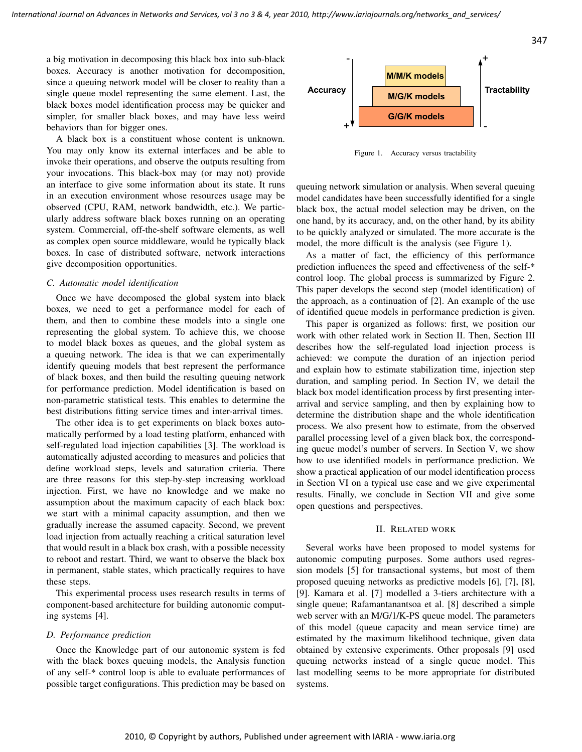a big motivation in decomposing this black box into sub-black boxes. Accuracy is another motivation for decomposition, since a queuing network model will be closer to reality than a single queue model representing the same element. Last, the black boxes model identification process may be quicker and simpler, for smaller black boxes, and may have less weird behaviors than for bigger ones.

A black box is a constituent whose content is unknown. You may only know its external interfaces and be able to invoke their operations, and observe the outputs resulting from your invocations. This black-box may (or may not) provide an interface to give some information about its state. It runs in an execution environment whose resources usage may be observed (CPU, RAM, network bandwidth, etc.). We particularly address software black boxes running on an operating system. Commercial, off-the-shelf software elements, as well as complex open source middleware, would be typically black boxes. In case of distributed software, network interactions give decomposition opportunities.

# *C. Automatic model identification*

Once we have decomposed the global system into black boxes, we need to get a performance model for each of them, and then to combine these models into a single one representing the global system. To achieve this, we choose to model black boxes as queues, and the global system as a queuing network. The idea is that we can experimentally identify queuing models that best represent the performance of black boxes, and then build the resulting queuing network for performance prediction. Model identification is based on non-parametric statistical tests. This enables to determine the best distributions fitting service times and inter-arrival times.

The other idea is to get experiments on black boxes automatically performed by a load testing platform, enhanced with self-regulated load injection capabilities [3]. The workload is automatically adjusted according to measures and policies that define workload steps, levels and saturation criteria. There are three reasons for this step-by-step increasing workload injection. First, we have no knowledge and we make no assumption about the maximum capacity of each black box: we start with a minimal capacity assumption, and then we gradually increase the assumed capacity. Second, we prevent load injection from actually reaching a critical saturation level that would result in a black box crash, with a possible necessity to reboot and restart. Third, we want to observe the black box in permanent, stable states, which practically requires to have these steps.

This experimental process uses research results in terms of component-based architecture for building autonomic computing systems [4].

#### *D. Performance prediction*

Once the Knowledge part of our autonomic system is fed with the black boxes queuing models, the Analysis function of any self-\* control loop is able to evaluate performances of possible target configurations. This prediction may be based on



Figure 1. Accuracy versus tractability

queuing network simulation or analysis. When several queuing model candidates have been successfully identified for a single black box, the actual model selection may be driven, on the one hand, by its accuracy, and, on the other hand, by its ability to be quickly analyzed or simulated. The more accurate is the model, the more difficult is the analysis (see Figure 1).

As a matter of fact, the efficiency of this performance prediction influences the speed and effectiveness of the self-\* control loop. The global process is summarized by Figure 2. This paper develops the second step (model identification) of the approach, as a continuation of [2]. An example of the use of identified queue models in performance prediction is given.

This paper is organized as follows: first, we position our work with other related work in Section II. Then, Section III describes how the self-regulated load injection process is achieved: we compute the duration of an injection period and explain how to estimate stabilization time, injection step duration, and sampling period. In Section IV, we detail the black box model identification process by first presenting interarrival and service sampling, and then by explaining how to determine the distribution shape and the whole identification process. We also present how to estimate, from the observed parallel processing level of a given black box, the corresponding queue model's number of servers. In Section V, we show how to use identified models in performance prediction. We show a practical application of our model identification process in Section VI on a typical use case and we give experimental results. Finally, we conclude in Section VII and give some open questions and perspectives.

## II. RELATED WORK

Several works have been proposed to model systems for autonomic computing purposes. Some authors used regression models [5] for transactional systems, but most of them proposed queuing networks as predictive models [6], [7], [8], [9]. Kamara et al. [7] modelled a 3-tiers architecture with a single queue; Rafamantanantsoa et al. [8] described a simple web server with an M/G/1/K-PS queue model. The parameters of this model (queue capacity and mean service time) are estimated by the maximum likelihood technique, given data obtained by extensive experiments. Other proposals [9] used queuing networks instead of a single queue model. This last modelling seems to be more appropriate for distributed systems.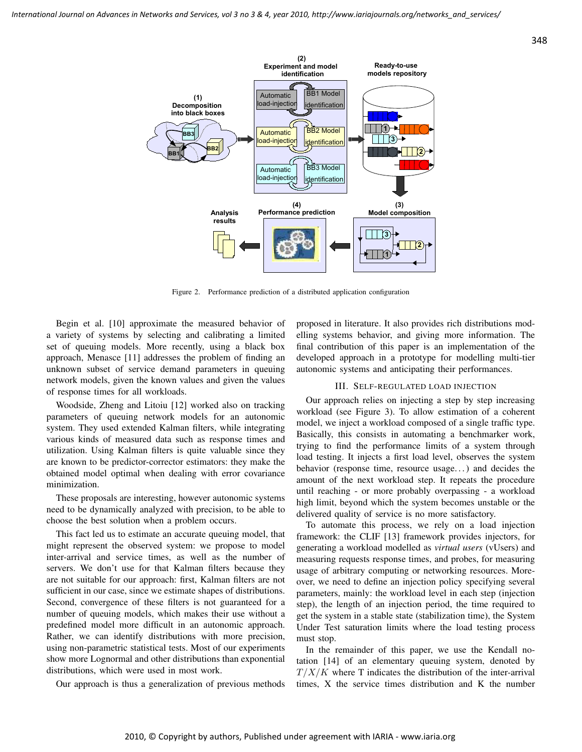

Figure 2. Performance prediction of a distributed application configuration

Begin et al. [10] approximate the measured behavior of a variety of systems by selecting and calibrating a limited set of queuing models. More recently, using a black box approach, Menasce [11] addresses the problem of finding an unknown subset of service demand parameters in queuing network models, given the known values and given the values of response times for all workloads.

Woodside, Zheng and Litoiu [12] worked also on tracking parameters of queuing network models for an autonomic system. They used extended Kalman filters, while integrating various kinds of measured data such as response times and utilization. Using Kalman filters is quite valuable since they are known to be predictor-corrector estimators: they make the obtained model optimal when dealing with error covariance minimization.

These proposals are interesting, however autonomic systems need to be dynamically analyzed with precision, to be able to choose the best solution when a problem occurs.

This fact led us to estimate an accurate queuing model, that might represent the observed system: we propose to model inter-arrival and service times, as well as the number of servers. We don't use for that Kalman filters because they are not suitable for our approach: first, Kalman filters are not sufficient in our case, since we estimate shapes of distributions. Second, convergence of these filters is not guaranteed for a number of queuing models, which makes their use without a predefined model more difficult in an autonomic approach. Rather, we can identify distributions with more precision, using non-parametric statistical tests. Most of our experiments show more Lognormal and other distributions than exponential distributions, which were used in most work.

Our approach is thus a generalization of previous methods

proposed in literature. It also provides rich distributions modelling systems behavior, and giving more information. The final contribution of this paper is an implementation of the developed approach in a prototype for modelling multi-tier autonomic systems and anticipating their performances.

# III. SELF-REGULATED LOAD INJECTION

Our approach relies on injecting a step by step increasing workload (see Figure 3). To allow estimation of a coherent model, we inject a workload composed of a single traffic type. Basically, this consists in automating a benchmarker work, trying to find the performance limits of a system through load testing. It injects a first load level, observes the system behavior (response time, resource usage. . . ) and decides the amount of the next workload step. It repeats the procedure until reaching - or more probably overpassing - a workload high limit, beyond which the system becomes unstable or the delivered quality of service is no more satisfactory.

To automate this process, we rely on a load injection framework: the CLIF [13] framework provides injectors, for generating a workload modelled as *virtual users* (vUsers) and measuring requests response times, and probes, for measuring usage of arbitrary computing or networking resources. Moreover, we need to define an injection policy specifying several parameters, mainly: the workload level in each step (injection step), the length of an injection period, the time required to get the system in a stable state (stabilization time), the System Under Test saturation limits where the load testing process must stop.

In the remainder of this paper, we use the Kendall notation [14] of an elementary queuing system, denoted by  $T/X/K$  where T indicates the distribution of the inter-arrival times, X the service times distribution and K the number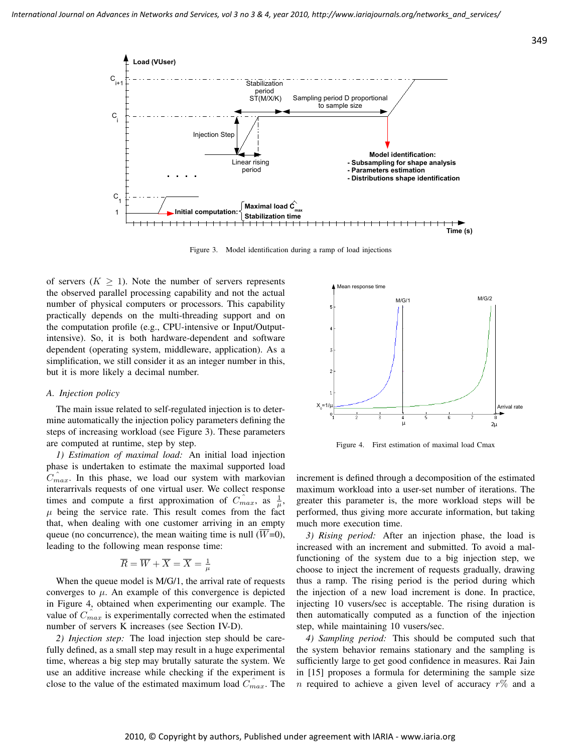

Figure 3. Model identification during a ramp of load injections

of servers ( $K \geq 1$ ). Note the number of servers represents the observed parallel processing capability and not the actual number of physical computers or processors. This capability practically depends on the multi-threading support and on the computation profile (e.g., CPU-intensive or Input/Outputintensive). So, it is both hardware-dependent and software dependent (operating system, middleware, application). As a simplification, we still consider it as an integer number in this, but it is more likely a decimal number.

#### *A. Injection policy*

The main issue related to self-regulated injection is to determine automatically the injection policy parameters defining the steps of increasing workload (see Figure 3). These parameters are computed at runtime, step by step.

*1) Estimation of maximal load:* An initial load injection phase is undertaken to estimate the maximal supported load  $C_{max}$ . In this phase, we load our system with markovian interarrivals requests of one virtual user. We collect response times and compute a first approximation of  $C_{max}^{\hat{}}$ , as  $\frac{1}{\mu}$ ,  $\mu$  being the service rate. This result comes from the fact that, when dealing with one customer arriving in an empty queue (no concurrence), the mean waiting time is null  $(\overline{W}=0)$ , leading to the following mean response time:

$$
\overline{R} = \overline{W} + \overline{X} = \overline{X} = \frac{1}{\mu}
$$

When the queue model is M/G/1, the arrival rate of requests converges to  $\mu$ . An example of this convergence is depicted in Figure 4, obtained when experimenting our example. The value of  $C_{max}$  is experimentally corrected when the estimated number of servers K increases (see Section IV-D).

*2) Injection step:* The load injection step should be carefully defined, as a small step may result in a huge experimental time, whereas a big step may brutally saturate the system. We use an additive increase while checking if the experiment is close to the value of the estimated maximum load  $C_{max}$ . The



Figure 4. First estimation of maximal load Cmax

increment is defined through a decomposition of the estimated maximum workload into a user-set number of iterations. The greater this parameter is, the more workload steps will be performed, thus giving more accurate information, but taking much more execution time.

*3) Rising period:* After an injection phase, the load is increased with an increment and submitted. To avoid a malfunctioning of the system due to a big injection step, we choose to inject the increment of requests gradually, drawing thus a ramp. The rising period is the period during which the injection of a new load increment is done. In practice, injecting 10 vusers/sec is acceptable. The rising duration is then automatically computed as a function of the injection step, while maintaining 10 vusers/sec.

*4) Sampling period:* This should be computed such that the system behavior remains stationary and the sampling is sufficiently large to get good confidence in measures. Rai Jain in [15] proposes a formula for determining the sample size *n* required to achieve a given level of accuracy  $r\%$  and a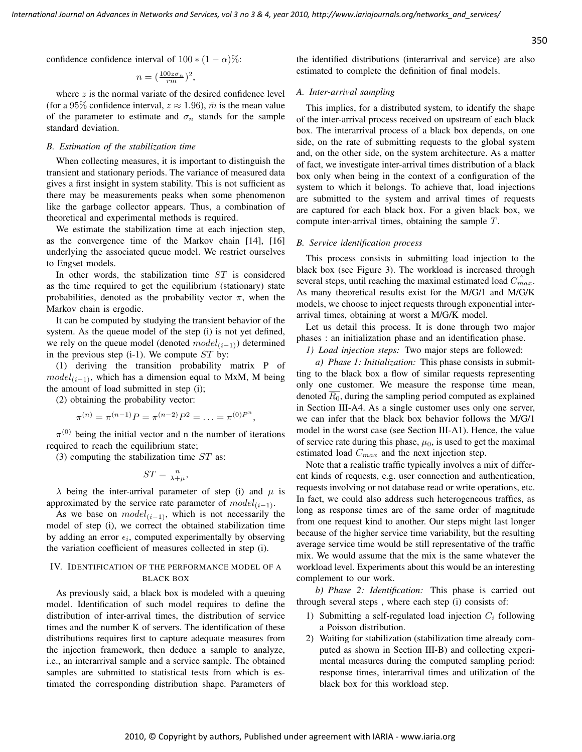confidence confidence interval of  $100 * (1 - \alpha)\%$ :

$$
n = (\frac{100z\sigma_n}{r\bar{m}})^2,
$$

where  $z$  is the normal variate of the desired confidence level (for a 95% confidence interval,  $z \approx 1.96$ ),  $\bar{m}$  is the mean value of the parameter to estimate and  $\sigma_n$  stands for the sample standard deviation.

#### *B. Estimation of the stabilization time*

When collecting measures, it is important to distinguish the transient and stationary periods. The variance of measured data gives a first insight in system stability. This is not sufficient as there may be measurements peaks when some phenomenon like the garbage collector appears. Thus, a combination of theoretical and experimental methods is required.

We estimate the stabilization time at each injection step, as the convergence time of the Markov chain [14], [16] underlying the associated queue model. We restrict ourselves to Engset models.

In other words, the stabilization time ST is considered as the time required to get the equilibrium (stationary) state probabilities, denoted as the probability vector  $\pi$ , when the Markov chain is ergodic.

It can be computed by studying the transient behavior of the system. As the queue model of the step (i) is not yet defined, we rely on the queue model (denoted  $model_{(i-1)}$ ) determined in the previous step  $(i-1)$ . We compute  $ST$  by:

(1) deriving the transition probability matrix P of  $model_{(i-1)}$ , which has a dimension equal to MxM, M being the amount of load submitted in step (i);

(2) obtaining the probability vector:

$$
\pi^{(n)} = \pi^{(n-1)}P = \pi^{(n-2)}P^2 = \ldots = \pi^{(0)}P^n,
$$

 $\pi^{(0)}$  being the initial vector and n the number of iterations required to reach the equilibrium state;

(3) computing the stabilization time  $ST$  as:

$$
ST = \frac{n}{\lambda + \mu},
$$

 $\lambda$  being the inter-arrival parameter of step (i) and  $\mu$  is approximated by the service rate parameter of  $model_{(i-1)}$ .

As we base on  $model(i-1)$ , which is not necessarily the model of step (i), we correct the obtained stabilization time by adding an error  $\epsilon_i$ , computed experimentally by observing the variation coefficient of measures collected in step (i).

# IV. IDENTIFICATION OF THE PERFORMANCE MODEL OF A BLACK BOX

As previously said, a black box is modeled with a queuing model. Identification of such model requires to define the distribution of inter-arrival times, the distribution of service times and the number K of servers. The identification of these distributions requires first to capture adequate measures from the injection framework, then deduce a sample to analyze, i.e., an interarrival sample and a service sample. The obtained samples are submitted to statistical tests from which is estimated the corresponding distribution shape. Parameters of the identified distributions (interarrival and service) are also estimated to complete the definition of final models.

# *A. Inter-arrival sampling*

This implies, for a distributed system, to identify the shape of the inter-arrival process received on upstream of each black box. The interarrival process of a black box depends, on one side, on the rate of submitting requests to the global system and, on the other side, on the system architecture. As a matter of fact, we investigate inter-arrival times distribution of a black box only when being in the context of a configuration of the system to which it belongs. To achieve that, load injections are submitted to the system and arrival times of requests are captured for each black box. For a given black box, we compute inter-arrival times, obtaining the sample T.

#### *B. Service identification process*

This process consists in submitting load injection to the black box (see Figure 3). The workload is increased through several steps, until reaching the maximal estimated load  $\hat{C}_{max}$ . As many theoretical results exist for the M/G/1 and M/G/K models, we choose to inject requests through exponential interarrival times, obtaining at worst a M/G/K model.

Let us detail this process. It is done through two major phases : an initialization phase and an identification phase.

*1) Load injection steps:* Two major steps are followed:

*a) Phase 1: Initialization:* This phase consists in submitting to the black box a flow of similar requests representing only one customer. We measure the response time mean, denoted  $\overline{R_0}$ , during the sampling period computed as explained in Section III-A4. As a single customer uses only one server, we can infer that the black box behavior follows the M/G/1 model in the worst case (see Section III-A1). Hence, the value of service rate during this phase,  $\mu_0$ , is used to get the maximal estimated load  $C_{max}$  and the next injection step.

Note that a realistic traffic typically involves a mix of different kinds of requests, e.g. user connection and authentication, requests involving or not database read or write operations, etc. In fact, we could also address such heterogeneous traffics, as long as response times are of the same order of magnitude from one request kind to another. Our steps might last longer because of the higher service time variability, but the resulting average service time would be still representative of the traffic mix. We would assume that the mix is the same whatever the workload level. Experiments about this would be an interesting complement to our work.

*b) Phase 2: Identification:* This phase is carried out through several steps , where each step (i) consists of:

- 1) Submitting a self-regulated load injection  $C_i$  following a Poisson distribution.
- 2) Waiting for stabilization (stabilization time already computed as shown in Section III-B) and collecting experimental measures during the computed sampling period: response times, interarrival times and utilization of the black box for this workload step.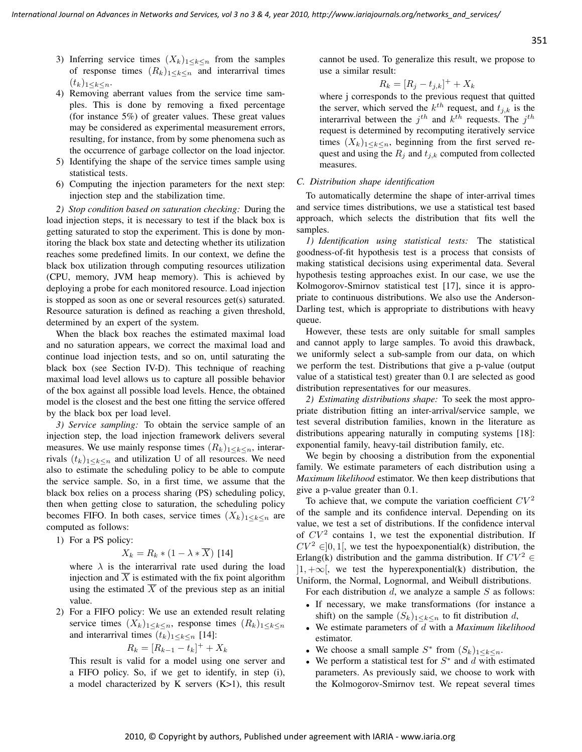351

- 3) Inferring service times  $(X_k)_{1 \leq k \leq n}$  from the samples of response times  $(R_k)_{1\leq k\leq n}$  and interarrival times  $(t_k)_{1\leq k\leq n}$ .
- 4) Removing aberrant values from the service time samples. This is done by removing a fixed percentage (for instance 5%) of greater values. These great values may be considered as experimental measurement errors, resulting, for instance, from by some phenomena such as the occurrence of garbage collector on the load injector.
- 5) Identifying the shape of the service times sample using statistical tests.
- 6) Computing the injection parameters for the next step: injection step and the stabilization time.

*2) Stop condition based on saturation checking:* During the load injection steps, it is necessary to test if the black box is getting saturated to stop the experiment. This is done by monitoring the black box state and detecting whether its utilization reaches some predefined limits. In our context, we define the black box utilization through computing resources utilization (CPU, memory, JVM heap memory). This is achieved by deploying a probe for each monitored resource. Load injection is stopped as soon as one or several resources get(s) saturated. Resource saturation is defined as reaching a given threshold, determined by an expert of the system.

When the black box reaches the estimated maximal load and no saturation appears, we correct the maximal load and continue load injection tests, and so on, until saturating the black box (see Section IV-D). This technique of reaching maximal load level allows us to capture all possible behavior of the box against all possible load levels. Hence, the obtained model is the closest and the best one fitting the service offered by the black box per load level.

*3) Service sampling:* To obtain the service sample of an injection step, the load injection framework delivers several measures. We use mainly response times  $(R_k)_{1 \leq k \leq n}$ , interarrivals  $(t_k)_{1 \leq k \leq n}$  and utilization U of all resources. We need also to estimate the scheduling policy to be able to compute the service sample. So, in a first time, we assume that the black box relies on a process sharing (PS) scheduling policy, then when getting close to saturation, the scheduling policy becomes FIFO. In both cases, service times  $(X_k)_{1\leq k \leq n}$  are computed as follows:

1) For a PS policy:

$$
X_k = R_k * (1 - \lambda * \overline{X})
$$
 [14]

where  $\lambda$  is the interarrival rate used during the load injection and  $\overline{X}$  is estimated with the fix point algorithm using the estimated  $\overline{X}$  of the previous step as an initial value.

2) For a FIFO policy: We use an extended result relating service times  $(X_k)_{1\leq k\leq n}$ , response times  $(R_k)_{1\leq k\leq n}$ and interarrival times  $(t_k)_{1 \leq k \leq n}$  [14]:

$$
R_k = [R_{k-1} - t_k]^+ + X_k
$$

This result is valid for a model using one server and a FIFO policy. So, if we get to identify, in step (i), a model characterized by K servers (K>1), this result cannot be used. To generalize this result, we propose to use a similar result:

$$
R_k = [R_j - t_{j,k}]^+ + X_k
$$

where j corresponds to the previous request that quitted the server, which served the  $k^{th}$  request, and  $t_{j,k}$  is the interarrival between the  $j^{th}$  and  $k^{th}$  requests. The  $j^{th}$ request is determined by recomputing iteratively service times  $(X_k)_{1 \leq k \leq n}$ , beginning from the first served request and using the  $R_j$  and  $t_{j,k}$  computed from collected measures.

#### *C. Distribution shape identification*

To automatically determine the shape of inter-arrival times and service times distributions, we use a statistical test based approach, which selects the distribution that fits well the samples.

*1) Identification using statistical tests:* The statistical goodness-of-fit hypothesis test is a process that consists of making statistical decisions using experimental data. Several hypothesis testing approaches exist. In our case, we use the Kolmogorov-Smirnov statistical test [17], since it is appropriate to continuous distributions. We also use the Anderson-Darling test, which is appropriate to distributions with heavy queue.

However, these tests are only suitable for small samples and cannot apply to large samples. To avoid this drawback, we uniformly select a sub-sample from our data, on which we perform the test. Distributions that give a p-value (output value of a statistical test) greater than 0.1 are selected as good distribution representatives for our measures.

*2) Estimating distributions shape:* To seek the most appropriate distribution fitting an inter-arrival/service sample, we test several distribution families, known in the literature as distributions appearing naturally in computing systems [18]: exponential family, heavy-tail distribution family, etc.

We begin by choosing a distribution from the exponential family. We estimate parameters of each distribution using a *Maximum likelihood* estimator. We then keep distributions that give a p-value greater than 0.1.

To achieve that, we compute the variation coefficient  $CV<sup>2</sup>$ of the sample and its confidence interval. Depending on its value, we test a set of distributions. If the confidence interval of  $CV<sup>2</sup>$  contains 1, we test the exponential distribution. If  $CV^2 \in ]0,1[$ , we test the hypoexponential(k) distribution, the Erlang(k) distribution and the gamma distribution. If  $CV^2 \in$  $|1, +\infty|$ , we test the hyperexponential(k) distribution, the Uniform, the Normal, Lognormal, and Weibull distributions.

For each distribution  $d$ , we analyze a sample  $S$  as follows:

- If necessary, we make transformations (for instance a shift) on the sample  $(S_k)_{1 \leq k \leq n}$  to fit distribution d,
- We estimate parameters of d with a *Maximum likelihood* estimator.
- We choose a small sample  $S^*$  from  $(S_k)_{1 \leq k \leq n}$ .
- We perform a statistical test for  $S^*$  and  $d$  with estimated parameters. As previously said, we choose to work with the Kolmogorov-Smirnov test. We repeat several times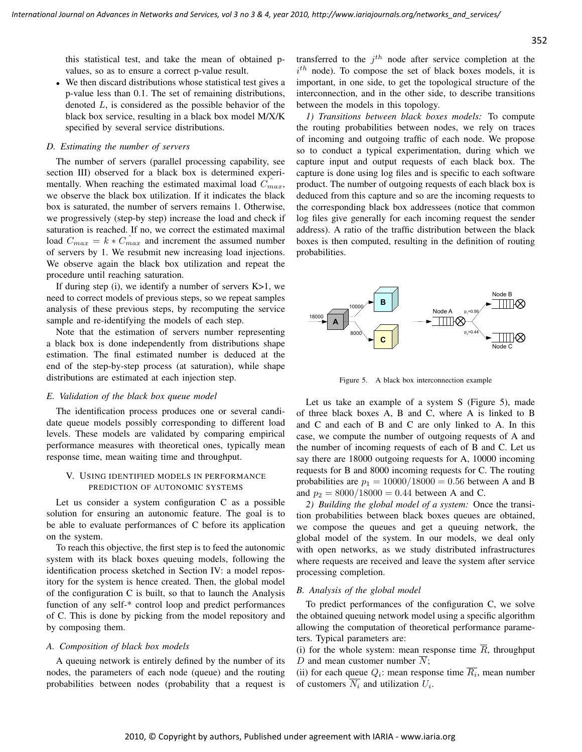this statistical test, and take the mean of obtained pvalues, so as to ensure a correct p-value result.

• We then discard distributions whose statistical test gives a p-value less than 0.1. The set of remaining distributions, denoted L, is considered as the possible behavior of the black box service, resulting in a black box model M/X/K specified by several service distributions.

# *D. Estimating the number of servers*

The number of servers (parallel processing capability, see section III) observed for a black box is determined experimentally. When reaching the estimated maximal load  $C_{max}$ , we observe the black box utilization. If it indicates the black box is saturated, the number of servers remains 1. Otherwise, we progressively (step-by step) increase the load and check if saturation is reached. If no, we correct the estimated maximal load  $C_{max} = k * C_{max}$  and increment the assumed number of servers by 1. We resubmit new increasing load injections. We observe again the black box utilization and repeat the procedure until reaching saturation.

If during step  $(i)$ , we identify a number of servers  $K>1$ , we need to correct models of previous steps, so we repeat samples analysis of these previous steps, by recomputing the service sample and re-identifying the models of each step.

Note that the estimation of servers number representing a black box is done independently from distributions shape estimation. The final estimated number is deduced at the end of the step-by-step process (at saturation), while shape distributions are estimated at each injection step.

#### *E. Validation of the black box queue model*

The identification process produces one or several candidate queue models possibly corresponding to different load levels. These models are validated by comparing empirical performance measures with theoretical ones, typically mean response time, mean waiting time and throughput.

# V. USING IDENTIFIED MODELS IN PERFORMANCE PREDICTION OF AUTONOMIC SYSTEMS

Let us consider a system configuration C as a possible solution for ensuring an autonomic feature. The goal is to be able to evaluate performances of C before its application on the system.

To reach this objective, the first step is to feed the autonomic system with its black boxes queuing models, following the identification process sketched in Section IV: a model repository for the system is hence created. Then, the global model of the configuration C is built, so that to launch the Analysis function of any self-\* control loop and predict performances of C. This is done by picking from the model repository and by composing them.

# *A. Composition of black box models*

A queuing network is entirely defined by the number of its nodes, the parameters of each node (queue) and the routing probabilities between nodes (probability that a request is

transferred to the  $j<sup>th</sup>$  node after service completion at the  $i^{th}$  node). To compose the set of black boxes models, it is important, in one side, to get the topological structure of the interconnection, and in the other side, to describe transitions between the models in this topology.

*1) Transitions between black boxes models:* To compute the routing probabilities between nodes, we rely on traces of incoming and outgoing traffic of each node. We propose so to conduct a typical experimentation, during which we capture input and output requests of each black box. The capture is done using log files and is specific to each software product. The number of outgoing requests of each black box is deduced from this capture and so are the incoming requests to the corresponding black box addressees (notice that common log files give generally for each incoming request the sender address). A ratio of the traffic distribution between the black boxes is then computed, resulting in the definition of routing probabilities.



Figure 5. A black box interconnection example

Let us take an example of a system S (Figure 5), made of three black boxes A, B and C, where A is linked to B and C and each of B and C are only linked to A. In this case, we compute the number of outgoing requests of A and the number of incoming requests of each of B and C. Let us say there are 18000 outgoing requests for A, 10000 incoming requests for B and 8000 incoming requests for C. The routing probabilities are  $p_1 = 10000/18000 = 0.56$  between A and B and  $p_2 = 8000/18000 = 0.44$  between A and C.

*2) Building the global model of a system:* Once the transition probabilities between black boxes queues are obtained, we compose the queues and get a queuing network, the global model of the system. In our models, we deal only with open networks, as we study distributed infrastructures where requests are received and leave the system after service processing completion.

#### *B. Analysis of the global model*

To predict performances of the configuration C, we solve the obtained queuing network model using a specific algorithm allowing the computation of theoretical performance parameters. Typical parameters are:

(i) for the whole system: mean response time  $\overline{R}$ , throughput D and mean customer number  $\overline{N}$ ;

(ii) for each queue  $Q_i$ : mean response time  $R_i$ , mean number of customers  $N_i$  and utilization  $U_i$ .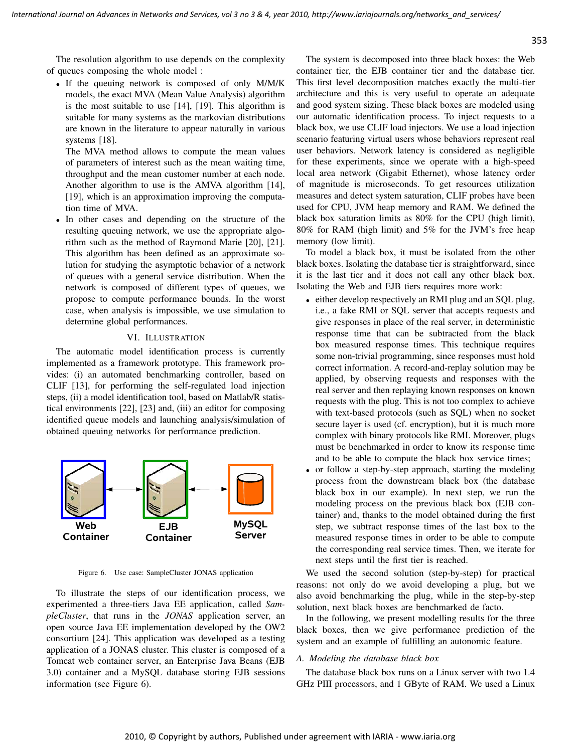The resolution algorithm to use depends on the complexity of queues composing the whole model :

• If the queuing network is composed of only M/M/K models, the exact MVA (Mean Value Analysis) algorithm is the most suitable to use [14], [19]. This algorithm is suitable for many systems as the markovian distributions are known in the literature to appear naturally in various systems [18].

The MVA method allows to compute the mean values of parameters of interest such as the mean waiting time, throughput and the mean customer number at each node. Another algorithm to use is the AMVA algorithm [14], [19], which is an approximation improving the computation time of MVA.

• In other cases and depending on the structure of the resulting queuing network, we use the appropriate algorithm such as the method of Raymond Marie [20], [21]. This algorithm has been defined as an approximate solution for studying the asymptotic behavior of a network of queues with a general service distribution. When the network is composed of different types of queues, we propose to compute performance bounds. In the worst case, when analysis is impossible, we use simulation to determine global performances.

# VI. ILLUSTRATION

The automatic model identification process is currently implemented as a framework prototype. This framework provides: (i) an automated benchmarking controller, based on CLIF [13], for performing the self-regulated load injection steps, (ii) a model identification tool, based on Matlab/R statistical environments [22], [23] and, (iii) an editor for composing identified queue models and launching analysis/simulation of obtained queuing networks for performance prediction.



Figure 6. Use case: SampleCluster JONAS application

To illustrate the steps of our identification process, we experimented a three-tiers Java EE application, called *SampleCluster*, that runs in the *JONAS* application server, an open source Java EE implementation developed by the OW2 consortium [24]. This application was developed as a testing application of a JONAS cluster. This cluster is composed of a Tomcat web container server, an Enterprise Java Beans (EJB 3.0) container and a MySQL database storing EJB sessions information (see Figure 6).

The system is decomposed into three black boxes: the Web container tier, the EJB container tier and the database tier. This first level decomposition matches exactly the multi-tier architecture and this is very useful to operate an adequate and good system sizing. These black boxes are modeled using our automatic identification process. To inject requests to a black box, we use CLIF load injectors. We use a load injection scenario featuring virtual users whose behaviors represent real user behaviors. Network latency is considered as negligible for these experiments, since we operate with a high-speed local area network (Gigabit Ethernet), whose latency order of magnitude is microseconds. To get resources utilization measures and detect system saturation, CLIF probes have been used for CPU, JVM heap memory and RAM. We defined the black box saturation limits as 80% for the CPU (high limit), 80% for RAM (high limit) and 5% for the JVM's free heap memory (low limit).

To model a black box, it must be isolated from the other black boxes. Isolating the database tier is straightforward, since it is the last tier and it does not call any other black box. Isolating the Web and EJB tiers requires more work:

- either develop respectively an RMI plug and an SQL plug, i.e., a fake RMI or SQL server that accepts requests and give responses in place of the real server, in deterministic response time that can be subtracted from the black box measured response times. This technique requires some non-trivial programming, since responses must hold correct information. A record-and-replay solution may be applied, by observing requests and responses with the real server and then replaying known responses on known requests with the plug. This is not too complex to achieve with text-based protocols (such as SQL) when no socket secure layer is used (cf. encryption), but it is much more complex with binary protocols like RMI. Moreover, plugs must be benchmarked in order to know its response time and to be able to compute the black box service times;
- or follow a step-by-step approach, starting the modeling process from the downstream black box (the database black box in our example). In next step, we run the modeling process on the previous black box (EJB container) and, thanks to the model obtained during the first step, we subtract response times of the last box to the measured response times in order to be able to compute the corresponding real service times. Then, we iterate for next steps until the first tier is reached.

We used the second solution (step-by-step) for practical reasons: not only do we avoid developing a plug, but we also avoid benchmarking the plug, while in the step-by-step solution, next black boxes are benchmarked de facto.

In the following, we present modelling results for the three black boxes, then we give performance prediction of the system and an example of fulfilling an autonomic feature.

# *A. Modeling the database black box*

The database black box runs on a Linux server with two 1.4 GHz PIII processors, and 1 GByte of RAM. We used a Linux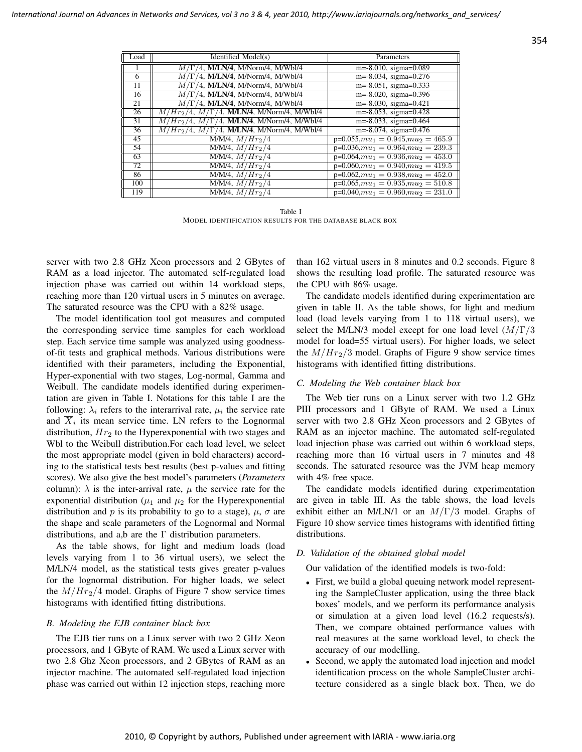| Load | Identified Model(s)                                   | Parameters                                 |
|------|-------------------------------------------------------|--------------------------------------------|
|      | $M/\Gamma/4$ , M/LN/4, M/Norm/4, M/Wbl/4              | $m=-8.010$ , sigma=0.089                   |
| 6    | $M/\Gamma/4$ , M/LN/4, M/Norm/4, M/Wbl/4              | $m=-8.034$ , sigma=0.276                   |
| 11   | $M/\Gamma/4$ , M/LN/4, M/Norm/4, M/Wbl/4              | $m=-8.051$ , sigma=0.333                   |
| 16   | $M/\Gamma/4$ , M/LN/4, M/Norm/4, M/Wbl/4              | $m=-8.020$ , sigma=0.396                   |
| 21   | $M/\Gamma/4$ , M/LN/4, M/Norm/4, M/Wbl/4              | $m=-8.030$ , sigma=0.421                   |
| 26   | $M/Hr_2/4$ , $M/\Gamma/4$ , M/LN/4, M/Norm/4, M/Wbl/4 | $m=-8.053$ , sigma=0.428                   |
| 31   | $M/Hr_2/4$ , $M/\Gamma/4$ , M/LN/4, M/Norm/4, M/Wbl/4 | $m=-8.033$ , sigma=0.464                   |
| 36   | $M/Hr_2/4$ , $M/\Gamma/4$ , M/LN/4, M/Norm/4, M/Wbl/4 | $m=-8.074$ , sigma=0.476                   |
| 45   | $M/M/4$ , $M/Hr_2/4$                                  | $\overline{p=0.055,mu_1=0.945,mu_2}=465.9$ |
| 54   | $M/M/4$ , $M/Hr_2/4$                                  | $p=0.036, mu_1 = 0.964, mu_2 = 239.3$      |
| 63   | $M/M/4$ , $M/Hr_2/4$                                  | $p=0.064, mu_1 = 0.936, mu_2 = 453.0$      |
| 72   | $M/M/4$ , $M/Hr_2/4$                                  | $p=0.060, mu_1 = 0.940, mu_2 = 419.5$      |
| 86   | $M/M/4$ , $M/Hr_2/4$                                  | $p=0.062, mu_1 = 0.938, mu_2 = 452.0$      |
| 100  | $M/M/4$ , $M/Hr_2/4$                                  | $p=0.065, mu_1 = 0.935, mu_2 = 510.8$      |
| 119  | $\overline{M/M/4, M/Hr_2/4}$                          | $p=0.040, mu_1 = 0.960, mu_2 = 231.0$      |

Table I MODEL IDENTIFICATION RESULTS FOR THE DATABASE BLACK BOX

server with two 2.8 GHz Xeon processors and 2 GBytes of RAM as a load injector. The automated self-regulated load injection phase was carried out within 14 workload steps, reaching more than 120 virtual users in 5 minutes on average. The saturated resource was the CPU with a 82% usage.

The model identification tool got measures and computed the corresponding service time samples for each workload step. Each service time sample was analyzed using goodnessof-fit tests and graphical methods. Various distributions were identified with their parameters, including the Exponential, Hyper-exponential with two stages, Log-normal, Gamma and Weibull. The candidate models identified during experimentation are given in Table I. Notations for this table I are the following:  $\lambda_i$  refers to the interarrival rate,  $\mu_i$  the service rate and  $X_i$  its mean service time. LN refers to the Lognormal distribution,  $Hr<sub>2</sub>$  to the Hyperexponential with two stages and Wbl to the Weibull distribution.For each load level, we select the most appropriate model (given in bold characters) according to the statistical tests best results (best p-values and fitting scores). We also give the best model's parameters (*Parameters* column):  $\lambda$  is the inter-arrival rate,  $\mu$  the service rate for the exponential distribution ( $\mu_1$  and  $\mu_2$  for the Hyperexponential distribution and p is its probability to go to a stage),  $\mu$ ,  $\sigma$  are the shape and scale parameters of the Lognormal and Normal distributions, and a,b are the  $\Gamma$  distribution parameters.

As the table shows, for light and medium loads (load levels varying from 1 to 36 virtual users), we select the M/LN/4 model, as the statistical tests gives greater p-values for the lognormal distribution. For higher loads, we select the  $M/Hr<sub>2</sub>/4$  model. Graphs of Figure 7 show service times histograms with identified fitting distributions.

#### *B. Modeling the EJB container black box*

The EJB tier runs on a Linux server with two 2 GHz Xeon processors, and 1 GByte of RAM. We used a Linux server with two 2.8 Ghz Xeon processors, and 2 GBytes of RAM as an injector machine. The automated self-regulated load injection phase was carried out within 12 injection steps, reaching more than 162 virtual users in 8 minutes and 0.2 seconds. Figure 8 shows the resulting load profile. The saturated resource was the CPU with 86% usage.

The candidate models identified during experimentation are given in table II. As the table shows, for light and medium load (load levels varying from 1 to 118 virtual users), we select the M/LN/3 model except for one load level  $(M/\Gamma/3)$ model for load=55 virtual users). For higher loads, we select the  $M/Hr<sub>2</sub>/3$  model. Graphs of Figure 9 show service times histograms with identified fitting distributions.

#### *C. Modeling the Web container black box*

The Web tier runs on a Linux server with two 1.2 GHz PIII processors and 1 GByte of RAM. We used a Linux server with two 2.8 GHz Xeon processors and 2 GBytes of RAM as an injector machine. The automated self-regulated load injection phase was carried out within 6 workload steps, reaching more than 16 virtual users in 7 minutes and 48 seconds. The saturated resource was the JVM heap memory with 4% free space.

The candidate models identified during experimentation are given in table III. As the table shows, the load levels exhibit either an M/LN/1 or an  $M/\Gamma/3$  model. Graphs of Figure 10 show service times histograms with identified fitting distributions.

## *D. Validation of the obtained global model*

Our validation of the identified models is two-fold:

- First, we build a global queuing network model representing the SampleCluster application, using the three black boxes' models, and we perform its performance analysis or simulation at a given load level (16.2 requests/s). Then, we compare obtained performance values with real measures at the same workload level, to check the accuracy of our modelling.
- Second, we apply the automated load injection and model identification process on the whole SampleCluster architecture considered as a single black box. Then, we do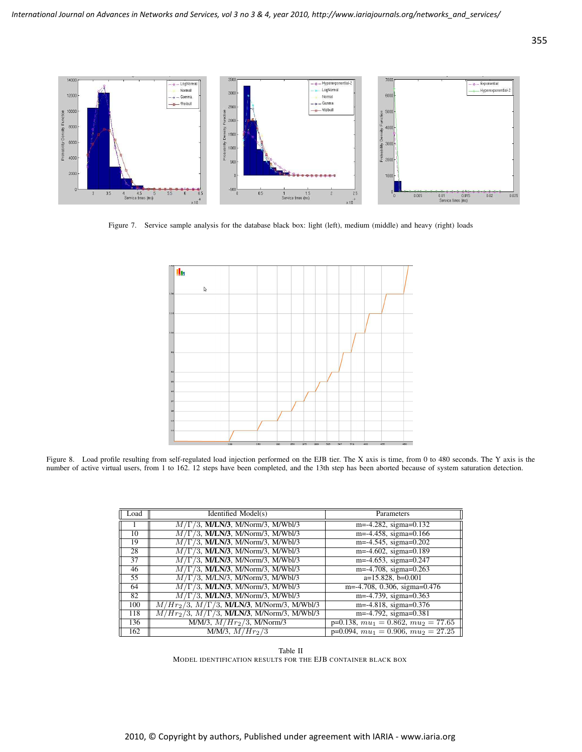

Figure 7. Service sample analysis for the database black box: light (left), medium (middle) and heavy (right) loads



Figure 8. Load profile resulting from self-regulated load injection performed on the EJB tier. The X axis is time, from 0 to 480 seconds. The Y axis is the number of active virtual users, from 1 to 162. 12 steps have been completed, and the 13th step has been aborted because of system saturation detection.

| Load            | Identified Model(s)                                           | Parameters                                       |
|-----------------|---------------------------------------------------------------|--------------------------------------------------|
|                 | $M/\Gamma/3$ , M/LN/3, M/Norm/3, M/Wbl/3                      | $m=-4.282$ , sigma=0.132                         |
| 10              | $M/\Gamma/3$ , M/LN/3, M/Norm/3, M/Wbl/3                      | $m=-4.458$ , sigma=0.166                         |
| 19              | $M/\Gamma/3$ , M/LN/3, M/Norm/3, M/Wbl/3                      | $m=-4.545$ , sigma=0.202                         |
| 28              | $M/\Gamma/3$ , M/LN/3, M/Norm/3, M/Wbl/3                      | $m=-4.602$ , sigma=0.189                         |
| 37              | $M/\Gamma/3$ , M/LN/3, M/Norm/3, M/Wbl/3                      | $m=-4.653$ , sigma=0.247                         |
| 46              | $M/\Gamma/3$ , M/LN/3, M/Norm/3, M/Wbl/3                      | $m=-4.708$ , sigma=0.263                         |
| $\overline{55}$ | $M/\Gamma/3$ , M/LN/3, M/Norm/3, M/Wbl/3                      | $a=15.828$ , b=0.001                             |
| 64              | $M/\Gamma/3$ , M/LN/3, M/Norm/3, M/Wbl/3                      | m=-4.708, 0.306, sigma=0.476                     |
| 82              | $M/\Gamma/3$ , M/LN/3, M/Norm/3, M/Wbl/3                      | m=-4.739, sigma= $0.363$                         |
| 100             | $M/Hr_2/3$ , $M/\Gamma/3$ , <b>M/LN/3</b> , M/Norm/3, M/Wbl/3 | $m=-4.818$ , sigma=0.376                         |
| 118             | $M/Hr_2/3$ , $M/\Gamma/3$ , <b>M/LN/3</b> , M/Norm/3, M/Wbl/3 | $m=-4.792$ , sigma=0.381                         |
| 136             | $M/M/3$ , $M/Hr_2/3$ , M/Norm/3                               | $p=0.138, mu_1 = 0.862, mu_2 = 77.65$            |
| 162             | $M/M/3$ , $M/Hr_2/3$                                          | $p=0.094, mu_1 = 0.\overline{906, mu_2} = 27.25$ |

Table II MODEL IDENTIFICATION RESULTS FOR THE EJB CONTAINER BLACK BOX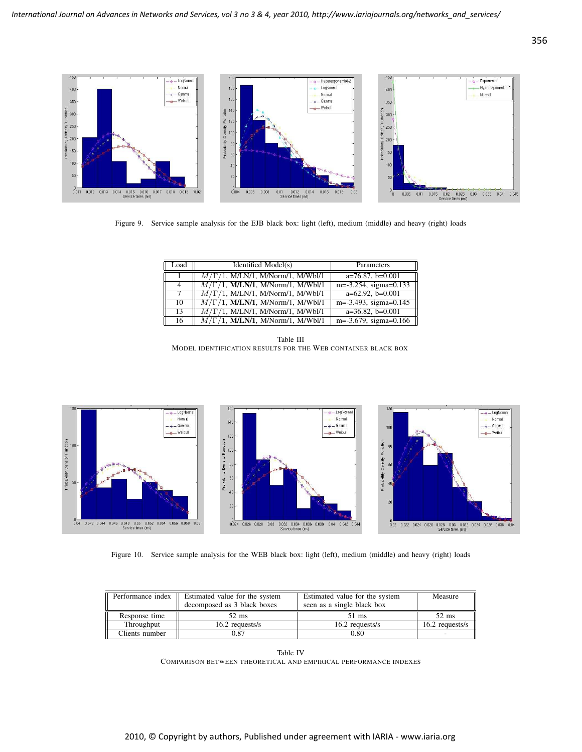

Figure 9. Service sample analysis for the EJB black box: light (left), medium (middle) and heavy (right) loads

| Load | Identified Model(s)                      | Parameters               |
|------|------------------------------------------|--------------------------|
|      | $M/\Gamma/1$ , M/LN/1, M/Norm/1, M/Wbl/1 | $a=76.87, b=0.001$       |
| 4    | $M/\Gamma/1$ , M/LN/1, M/Norm/1, M/Wbl/1 | $m=-3.254$ , sigma=0.133 |
| 7    | $M/\Gamma/1$ , M/LN/1, M/Norm/1, M/Wbl/1 | $a=62.92$ , $b=0.001$    |
| 10   | $M/\Gamma/1$ , M/LN/1, M/Norm/1, M/Wbl/1 | $m=-3.493$ , sigma=0.145 |
| 13   | $M/\Gamma/1$ , M/LN/1, M/Norm/1, M/Wbl/1 | $a=36.82$ , $b=0.001$    |
| 16   | $M/\Gamma/1$ , M/LN/1, M/Norm/1, M/Wbl/1 | $m=-3.679$ , sigma=0.166 |

Table III MODEL IDENTIFICATION RESULTS FOR THE WEB CONTAINER BLACK BOX



Figure 10. Service sample analysis for the WEB black box: light (left), medium (middle) and heavy (right) loads

| Performance index | Estimated value for the system<br>decomposed as 3 black boxes | Estimated value for the system<br>seen as a single black box | Measure         |
|-------------------|---------------------------------------------------------------|--------------------------------------------------------------|-----------------|
| Response time     | 52 ms                                                         | 51 ms                                                        | $52 \text{ ms}$ |
| Throughput        | 16.2 requests/s                                               | 16.2 requests/s                                              | 16.2 requests/s |
| Clients number    | 0.87                                                          | 0.80                                                         |                 |

Table IV COMPARISON BETWEEN THEORETICAL AND EMPIRICAL PERFORMANCE INDEXES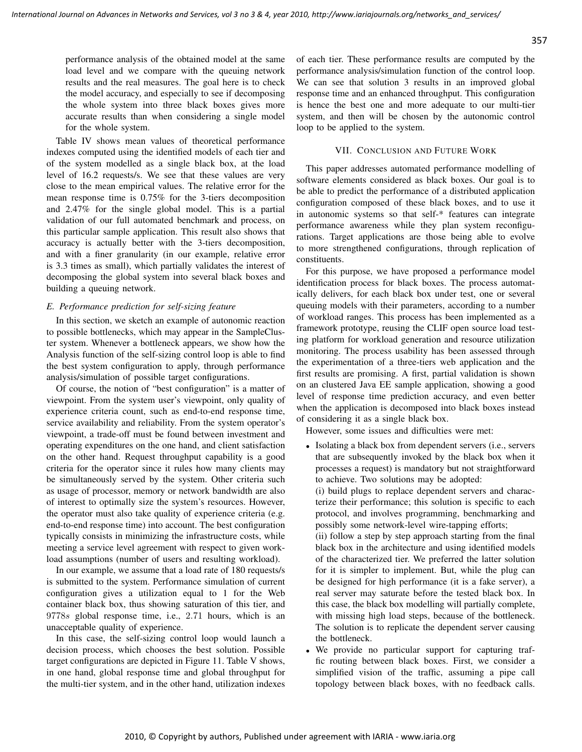performance analysis of the obtained model at the same load level and we compare with the queuing network results and the real measures. The goal here is to check the model accuracy, and especially to see if decomposing the whole system into three black boxes gives more accurate results than when considering a single model for the whole system.

Table IV shows mean values of theoretical performance indexes computed using the identified models of each tier and of the system modelled as a single black box, at the load level of 16.2 requests/s. We see that these values are very close to the mean empirical values. The relative error for the mean response time is 0.75% for the 3-tiers decomposition and 2.47% for the single global model. This is a partial validation of our full automated benchmark and process, on this particular sample application. This result also shows that accuracy is actually better with the 3-tiers decomposition, and with a finer granularity (in our example, relative error is 3.3 times as small), which partially validates the interest of decomposing the global system into several black boxes and building a queuing network.

# *E. Performance prediction for self-sizing feature*

In this section, we sketch an example of autonomic reaction to possible bottlenecks, which may appear in the SampleCluster system. Whenever a bottleneck appears, we show how the Analysis function of the self-sizing control loop is able to find the best system configuration to apply, through performance analysis/simulation of possible target configurations.

Of course, the notion of "best configuration" is a matter of viewpoint. From the system user's viewpoint, only quality of experience criteria count, such as end-to-end response time, service availability and reliability. From the system operator's viewpoint, a trade-off must be found between investment and operating expenditures on the one hand, and client satisfaction on the other hand. Request throughput capability is a good criteria for the operator since it rules how many clients may be simultaneously served by the system. Other criteria such as usage of processor, memory or network bandwidth are also of interest to optimally size the system's resources. However, the operator must also take quality of experience criteria (e.g. end-to-end response time) into account. The best configuration typically consists in minimizing the infrastructure costs, while meeting a service level agreement with respect to given workload assumptions (number of users and resulting workload).

In our example, we assume that a load rate of 180 requests/s is submitted to the system. Performance simulation of current configuration gives a utilization equal to 1 for the Web container black box, thus showing saturation of this tier, and 9778s global response time, i.e., 2.71 hours, which is an unacceptable quality of experience.

In this case, the self-sizing control loop would launch a decision process, which chooses the best solution. Possible target configurations are depicted in Figure 11. Table V shows, in one hand, global response time and global throughput for the multi-tier system, and in the other hand, utilization indexes

of each tier. These performance results are computed by the performance analysis/simulation function of the control loop. We can see that solution 3 results in an improved global response time and an enhanced throughput. This configuration is hence the best one and more adequate to our multi-tier system, and then will be chosen by the autonomic control loop to be applied to the system.

# VII. CONCLUSION AND FUTURE WORK

This paper addresses automated performance modelling of software elements considered as black boxes. Our goal is to be able to predict the performance of a distributed application configuration composed of these black boxes, and to use it in autonomic systems so that self-\* features can integrate performance awareness while they plan system reconfigurations. Target applications are those being able to evolve to more strengthened configurations, through replication of constituents.

For this purpose, we have proposed a performance model identification process for black boxes. The process automatically delivers, for each black box under test, one or several queuing models with their parameters, according to a number of workload ranges. This process has been implemented as a framework prototype, reusing the CLIF open source load testing platform for workload generation and resource utilization monitoring. The process usability has been assessed through the experimentation of a three-tiers web application and the first results are promising. A first, partial validation is shown on an clustered Java EE sample application, showing a good level of response time prediction accuracy, and even better when the application is decomposed into black boxes instead of considering it as a single black box.

However, some issues and difficulties were met:

- Isolating a black box from dependent servers (i.e., servers that are subsequently invoked by the black box when it processes a request) is mandatory but not straightforward to achieve. Two solutions may be adopted:
	- (i) build plugs to replace dependent servers and characterize their performance; this solution is specific to each protocol, and involves programming, benchmarking and possibly some network-level wire-tapping efforts;

(ii) follow a step by step approach starting from the final black box in the architecture and using identified models of the characterized tier. We preferred the latter solution for it is simpler to implement. But, while the plug can be designed for high performance (it is a fake server), a real server may saturate before the tested black box. In this case, the black box modelling will partially complete, with missing high load steps, because of the bottleneck. The solution is to replicate the dependent server causing the bottleneck.

• We provide no particular support for capturing traffic routing between black boxes. First, we consider a simplified vision of the traffic, assuming a pipe call topology between black boxes, with no feedback calls.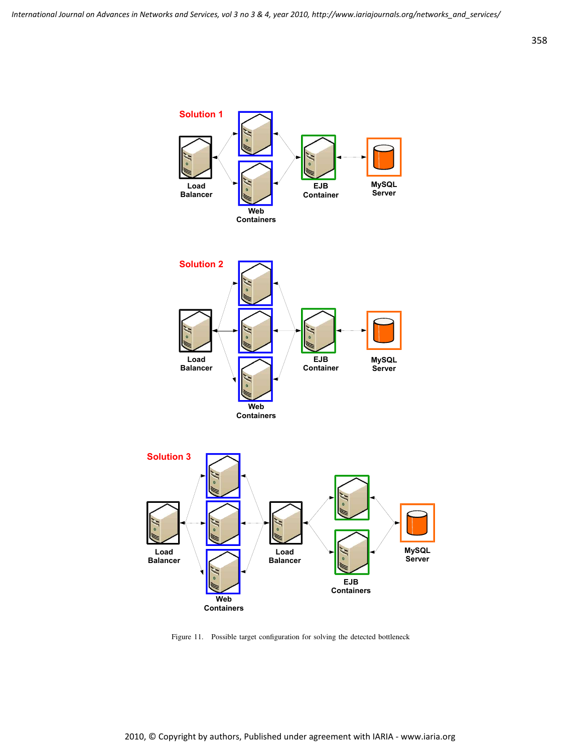

Figure 11. Possible target configuration for solving the detected bottleneck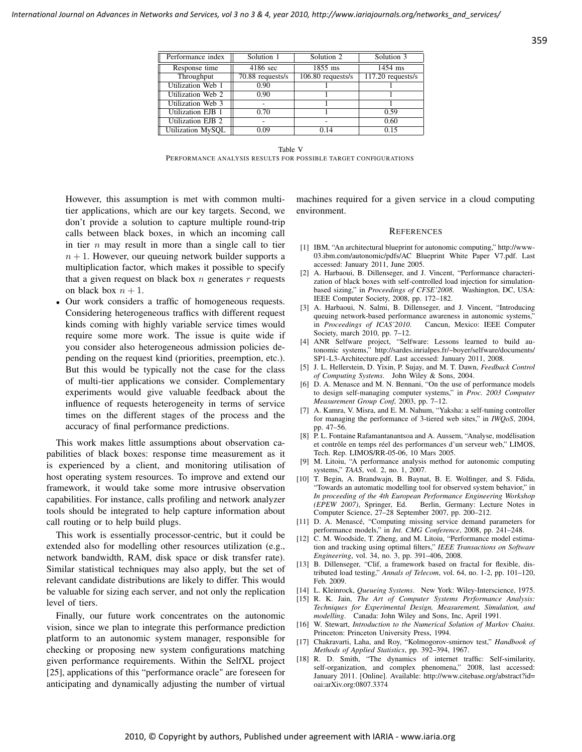| Performance index        | Solution 1         | Solution 2          | Solution 3                     |
|--------------------------|--------------------|---------------------|--------------------------------|
| Response time            | 4186 sec           | $1855$ ms           | $1454$ ms                      |
| Throughput               | $70.88$ requests/s | $106.80$ requests/s | $\overline{117.20}$ requests/s |
| Utilization Web 1        | 0.90               |                     |                                |
| Utilization Web 2        | 0.90               |                     |                                |
| Utilization Web 3        |                    |                     |                                |
| <b>Utilization EJB 1</b> | 0.70               |                     | 0.59                           |
| Utilization EJB 2        |                    |                     | 0.60                           |
| Utilization MySOL        | 0.09               | 0.14                | 0.15                           |

Table V

PERFORMANCE ANALYSIS RESULTS FOR POSSIBLE TARGET CONFIGURATIONS

However, this assumption is met with common multitier applications, which are our key targets. Second, we don't provide a solution to capture multiple round-trip calls between black boxes, in which an incoming call in tier  $n$  may result in more than a single call to tier  $n + 1$ . However, our queuing network builder supports a multiplication factor, which makes it possible to specify that a given request on black box  $n$  generates  $r$  requests on black box  $n + 1$ .

• Our work considers a traffic of homogeneous requests. Considering heterogeneous traffics with different request kinds coming with highly variable service times would require some more work. The issue is quite wide if you consider also heterogeneous admission policies depending on the request kind (priorities, preemption, etc.). But this would be typically not the case for the class of multi-tier applications we consider. Complementary experiments would give valuable feedback about the influence of requests heterogeneity in terms of service times on the different stages of the process and the accuracy of final performance predictions.

This work makes little assumptions about observation capabilities of black boxes: response time measurement as it is experienced by a client, and monitoring utilisation of host operating system resources. To improve and extend our framework, it would take some more intrusive observation capabilities. For instance, calls profiling and network analyzer tools should be integrated to help capture information about call routing or to help build plugs.

This work is essentially processor-centric, but it could be extended also for modelling other resources utilization (e.g., network bandwidth, RAM, disk space or disk transfer rate). Similar statistical techniques may also apply, but the set of relevant candidate distributions are likely to differ. This would be valuable for sizing each server, and not only the replication level of tiers.

Finally, our future work concentrates on the autonomic vision, since we plan to integrate this performance prediction platform to an autonomic system manager, responsible for checking or proposing new system configurations matching given performance requirements. Within the SelfXL project [25], applications of this "performance oracle" are foreseen for anticipating and dynamically adjusting the number of virtual machines required for a given service in a cloud computing environment.

#### **REFERENCES**

- [1] IBM, "An architectural blueprint for autonomic computing," http://www-03.ibm.com/autonomic/pdfs/AC Blueprint White Paper V7.pdf. Last accessed: January 2011, June 2005.
- [2] A. Harbaoui, B. Dillenseger, and J. Vincent, "Performance characterization of black boxes with self-controlled load injection for simulationbased sizing," in *Proceedings of CFSE'2008*. Washington, DC, USA: IEEE Computer Society, 2008, pp. 172–182.
- [3] A. Harbaoui, N. Salmi, B. Dillenseger, and J. Vincent, "Introducing queuing network-based performance awareness in autonomic systems,' in *Proceedings of ICAS'2010*. Cancun, Mexico: IEEE Computer Society, march 2010, pp. 7–12.
- [4] ANR Selfware project, "Selfware: Lessons learned to build autonomic systems," http://sardes.inrialpes.fr/~boyer/selfware/documents/ SP1-L3-Architecture.pdf. Last accessed: January 2011, 2008.
- [5] J. L. Hellerstein, D. Yixin, P. Sujay, and M. T. Dawn, *Feedback Control of Computing Systems*. John Wiley & Sons, 2004.
- [6] D. A. Menasce and M. N. Bennani, "On the use of performance models to design self-managing computer systems," in *Proc. 2003 Computer Measurement Group Conf*, 2003, pp. 7–12.
- [7] A. Kamra, V. Misra, and E. M. Nahum, "Yaksha: a self-tuning controller for managing the performance of 3-tiered web sites," in *IWQoS*, 2004, pp. 47–56.
- [8] P. L. Fontaine Rafamantanantsoa and A. Aussem, "Analyse, modélisation et contrôle en temps réel des performances d'un serveur web," LIMOS, Tech. Rep. LIMOS/RR-05-06, 10 Mars 2005.
- [9] M. Litoiu, "A performance analysis method for autonomic computing systems," *TAAS*, vol. 2, no. 1, 2007.
- [10] T. Begin, A. Brandwajn, B. Baynat, B. E. Wolfinger, and S. Fdida, "Towards an automatic modelling tool for observed system behavior," in *In proceeding of the 4th European Performance Engineering Workshop (EPEW 2007)*, Springer, Ed. Berlin, Germany: Lecture Notes in Computer Science, 27–28 September 2007, pp. 200–212.
- [11] D. A. Menascé, "Computing missing service demand parameters for performance models," in *Int. CMG Conference*, 2008, pp. 241–248.
- [12] C. M. Woodside, T. Zheng, and M. Litoiu, "Performance model estimation and tracking using optimal filters," *IEEE Transactions on Software Engineering*, vol. 34, no. 3, pp. 391–406, 2008.
- [13] B. Dillenseger, "Clif, a framework based on fractal for flexible, distributed load testing," *Annals of Telecom*, vol. 64, no. 1-2, pp. 101–120, Feb. 2009.
- [14] L. Kleinrock, *Queueing Systems*. New York: Wiley-Interscience, 1975.
- [15] R. K. Jain, *The Art of Computer Systems Performance Analysis: Techniques for Experimental Design, Measurement, Simulation, and modelling*. Canada: John Wiley and Sons, Inc, April 1991.
- [16] W. Stewart, *Introduction to the Numerical Solution of Markov Chains*. Princeton: Princeton University Press, 1994.
- [17] Chakravarti, Laha, and Roy, "Kolmogorov-smirnov test," *Handbook of Methods of Applied Statistics*, pp. 392–394, 1967.
- [18] R. D. Smith, "The dynamics of internet traffic: Self-similarity, self-organization, and complex phenomena," 2008, last accessed: January 2011. [Online]. Available: http://www.citebase.org/abstract?id= oai:arXiv.org:0807.3374